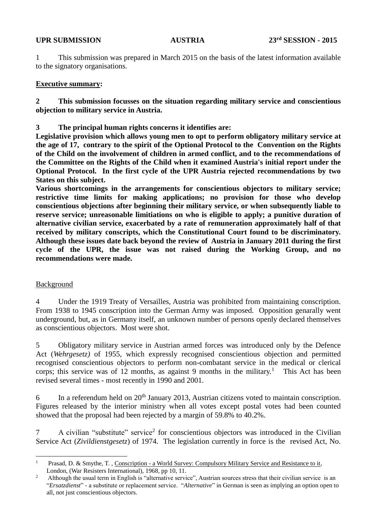1 This submission was prepared in March 2015 on the basis of the latest information available to the signatory organisations.

## **Executive summary:**

**2 This submission focusses on the situation regarding military service and conscientious objection to military service in Austria.** 

**3 The principal human rights concerns it identifies are:**

**Legislative provision which allows young men to opt to perform obligatory military service at the age of 17, contrary to the spirit of the Optional Protocol to the Convention on the Rights of the Child on the involvement of children in armed conflict, and to the recommendations of the Committee on the Rights of the Child when it examined Austria's initial report under the Optional Protocol. In the first cycle of the UPR Austria rejected recommendations by two States on this subject.** 

**Various shortcomings in the arrangements for conscientious objectors to military service; restrictive time limits for making applications; no provision for those who develop conscientious objections after beginning their military service, or when subsequently liable to reserve service; unreasonable limitiations on who is eligible to apply; a punitive duration of alternative civilian service, exacerbated by a rate of remuneration approximately half of that received by military conscripts, which the Constitutional Court found to be discriminatory. Although these issues date back beyond the review of Austria in January 2011 during the first cycle of the UPR, the issue was not raised during the Working Group, and no recommendations were made.**

## Background

4 Under the 1919 Treaty of Versailles, Austria was prohibited from maintaining conscription. From 1938 to 1945 conscription into the German Army was imposed. Opposition genarally went underground, but, as in Germany itself, an unknown number of persons openly declared themselves as conscientious objectors. Most were shot.

5 Obligatory military service in Austrian armed forces was introduced only by the Defence Act (*Wehrgesetz)* of 1955, which expressly recognised conscientious objection and permitted recognised conscientious objectors to perform non-combatant service in the medical or clerical corps; this service was of 12 months, as against 9 months in the military.<sup>1</sup> This Act has been revised several times - most recently in 1990 and 2001.

6 In a referendum held on  $20<sup>th</sup>$  January 2013, Austrian citizens voted to maintain conscription. Figures released by the interior ministry when all votes except postal votes had been counted showed that the proposal had been rejected by a margin of 59.8% to 40.2%.

7 A civilian "substitute" service<sup>2</sup> for conscientious objectors was introduced in the Civilian Service Act (*Zivildienstgesetz*) of 1974. The legislation currently in force is the revised Act, No.

 $\mathbf{1}$ Prasad, D. & Smythe, T., Conscription - a World Survey: Compulsory Military Service and Resistance to it, London, (War Resisters International), 1968, pp 10, 11.

<sup>&</sup>lt;sup>2</sup> Although the usual term in English is "alternative service", Austrian sources stress that their civilian service is an "*Ersatzdienst*" - a substitute or replacement service. "*Alternative*" in German is seen as implying an option open to all, not just conscientious objectors.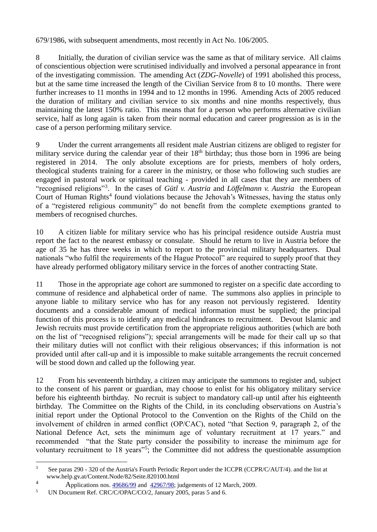679/1986, with subsequent amendments, most recently in Act No. 106/2005.

8 Initially, the duration of civilian service was the same as that of military service. All claims of conscientious objection were scrutinised individually and involved a personal appearance in front of the investigating commission. The amending Act (*ZDG-Novelle*) of 1991 abolished this process, but at the same time increased the length of the Civilian Service from 8 to 10 months. There were further increases to 11 months in 1994 and to 12 months in 1996. Amending Acts of 2005 reduced the duration of military and civilian service to six months and nine months respectively, thus maintaining the latest 150% ratio. This means that for a person who performs alternative civilian service, half as long again is taken from their normal education and career progression as is in the case of a person performing military service.

9 Under the current arrangements all resident male Austrian citizens are obliged to register for military service during the calendar year of their  $18<sup>th</sup>$  birthday; thus those born in 1996 are being registered in 2014. The only absolute exceptions are for priests, members of holy orders, theological students training for a career in the ministry, or those who following such studies are engaged in pastoral work or spiritual teaching - provided in all cases that they are members of "recognised religions"<sup>3</sup>. In the cases of *Gütl v. Austria* and *Löffelmann v. Austria* the European Court of Human Rights<sup>4</sup> found violations because the Jehovah's Witnesses, having the status only of a "registered religious community" do not benefit from the complete exemptions granted to members of recognised churches.

10 A citizen liable for military service who has his principal residence outside Austria must report the fact to the nearest embassy or consulate. Should he return to live in Austria before the age of 35 he has three weeks in which to report to the provincial military headquarters. Dual nationals "who fulfil the requirements of the Hague Protocol" are required to supply proof that they have already performed obligatory military service in the forces of another contracting State.

11 Those in the appropriate age cohort are summoned to register on a specific date according to commune of residence and alphabetical order of name. The summons also applies in principle to anyone liable to military service who has for any reason not perviously registered. Identity documents and a considerable amount of medical information must be supplied; the principal function of this process is to identify any medical hindrances to recruitment. Devout Islamic and Jewish recruits must provide certification from the appropriate religious authorities (which are both on the list of "recognised religions"); special arrangements will be made for their call up so that their military duties will not conflict with their religious observances; if this information is not provided until after call-up and it is impossible to make suitable arrangements the recruit concerned will be stood down and called up the following year.

12 From his seventeenth birthday, a citizen may anticipate the summons to register and, subject to the consent of his parent or guardian, may choose to enlist for his obligatory military service before his eighteenth birthday. No recruit is subject to mandatory call-up until after his eighteenth birthday. The Committee on the Rights of the Child, in its concluding observations on Austria's initial report under the Optional Protocol to the Convention on the Rights of the Child on the involvement of children in armed conflict (OP/CAC), noted "that Section 9, paragraph 2, of the National Defence Act, sets the minimum age of voluntary recruitment at 17 years." and recommended "that the State party consider the possibility to increase the minimum age for voluntary recruitment to 18 years"<sup>5</sup>; the Committee did not address the questionable assumption

<sup>1</sup> <sup>3</sup> See paras 290 - 320 of the Austria's Fourth Periodic Report under the ICCPR (CCPR/C/AUT/4), and the list at www.help.gv.at/Content.Node/82/Seite.820100.html 4

Applications nos. [49686/99](http://hudoc.echr.coe.int/sites/eng/Pages/search.aspx#{) and [42967/98;](http://hudoc.echr.coe.int/sites/eng/Pages/search.aspx#{) judgements of 12 March, 2009.

<sup>5</sup> UN Document Ref. CRC/C/OPAC/CO/2, January 2005, paras 5 and 6.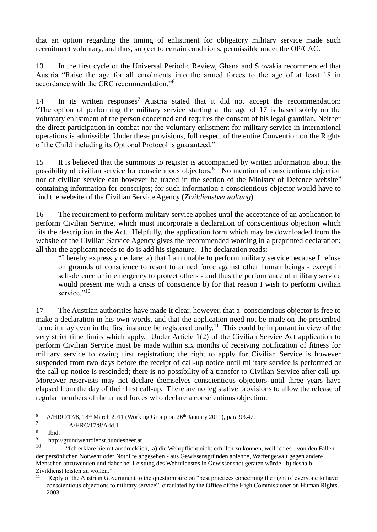that an option regarding the timing of enlistment for obligatory military service made such recruitment voluntary, and thus, subject to certain conditions, permissible under the OP/CAC.

13 In the first cycle of the Universal Periodic Review, Ghana and Slovakia recommended that Austria "Raise the age for all enrolments into the armed forces to the age of at least 18 in accordance with the CRC recommendation."<sup>6</sup>

14 In its written responses<sup>7</sup> Austria stated that it did not accept the recommendation: "The option of performing the military service starting at the age of 17 is based solely on the voluntary enlistment of the person concerned and requires the consent of his legal guardian. Neither the direct participation in combat nor the voluntary enlistment for military service in international operations is admissible. Under these provisions, full respect of the entire Convention on the Rights of the Child including its Optional Protocol is guaranteed."

15 It is believed that the summons to register is accompanied by written information about the possibility of civilian service for conscientious objectors.<sup>8</sup> No mention of conscientious objection nor of civilian service can however be traced in the section of the Ministry of Defence website<sup>9</sup> containing information for conscripts; for such information a conscientious objector would have to find the website of the Civilian Service Agency (*Zivildienstverwaltung*).

16 The requirement to perform military service applies until the acceptance of an application to perform Civilian Service, which must incorporate a declaration of conscientious objection which fits the description in the Act. Helpfully, the application form which may be downloaded from the website of the Civilian Service Agency gives the recommended wording in a preprinted declaration; all that the applicant needs to do is add his signature. The declaration reads:

"I hereby expressly declare: a) that I am unable to perform military service because I refuse on grounds of conscience to resort to armed force against other human beings - except in self-defence or in emergency to protect others - and thus the performance of military service would present me with a crisis of conscience b) for that reason I wish to perform civilian service."<sup>10</sup>

17 The Austrian authorities have made it clear, however, that a conscientious objector is free to make a declaration in his own words, and that the application need not be made on the prescribed form; it may even in the first instance be registered orally.<sup>11</sup> This could be important in view of the very strict time limits which apply. Under Article 1(2) of the Civilian Service Act application to perform Civilian Service must be made within six months of receiving notification of fitness for military service following first registration; the right to apply for Civilian Service is however suspended from two days before the receipt of call-up notice until military service is performed or the call-up notice is rescinded; there is no possibility of a transfer to Civilian Service after call-up. Moreover reservists may not declare themselves conscientious objectors until three years have elapsed from the day of their first call-up. There are no legislative provisions to allow the release of regular members of the armed forces who declare a conscientious objection.

1

<sup>&</sup>lt;sup>6</sup> A/HRC/17/8, 18<sup>th</sup> March 2011 (Working Group on  $26<sup>th</sup>$  January 2011), para 93.47. 7

A/HRC/17/8/Add.1

<sup>8</sup> Ibid.

<sup>9</sup> http://grundwehrdienst.bundesheer.at

<sup>10</sup> "Ich erkläre hiemit ausdrücklich, a) die Wehrpflicht nicht erfüllen zu können, weil ich es - von den Fällen der persönlichen Notwehr oder Nothilfe abgesehen - aus Gewissensgründen ablehne, Waffengewalt gegen andere Menschen anzuwenden und daher bei Leistung des Wehrdienstes in Gewissensnot geraten würde, b) deshalb Zivildienst leisten zu wollen."

Reply of the Austrian Government to the questionnaire on "best practices concerning the right of everyone to have conscientious objections to military service", circulated by the Office of the High Commissioner on Human Rights, 2003.